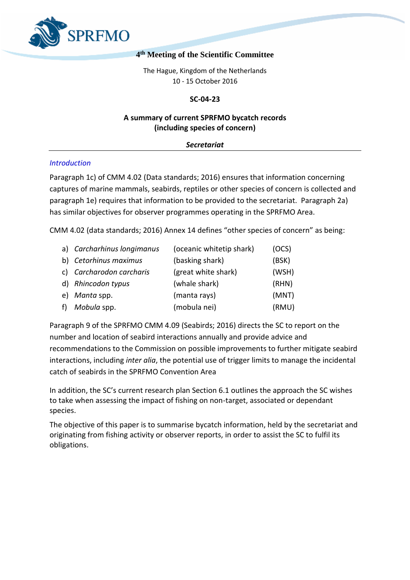

# **4 th Meeting of the Scientific Committee**

The Hague, Kingdom of the Netherlands 10 - 15 October 2016

## **SC-04-23**

# **A summary of current SPRFMO bycatch records (including species of concern)**

### *Secretariat*

### *Introduction*

Paragraph 1c) of CMM 4.02 (Data standards; 2016) ensures that information concerning captures of marine mammals, seabirds, reptiles or other species of concern is collected and paragraph 1e) requires that information to be provided to the secretariat. Paragraph 2a) has similar objectives for observer programmes operating in the SPRFMO Area.

CMM 4.02 (data standards; 2016) Annex 14 defines "other species of concern" as being:

| a) Carcharhinus longimanus | (oceanic whitetip shark) | (OCS) |
|----------------------------|--------------------------|-------|
| b) Cetorhinus maximus      | (basking shark)          | (BSK) |
| c) Carcharodon carcharis   | (great white shark)      | (WSH) |
| d) Rhincodon typus         | (whale shark)            | (RHN) |
| e) Manta spp.              | (manta rays)             | (MNT) |
| f) Mobula spp.             | (mobula nei)             | (RMU) |

Paragraph 9 of the SPRFMO CMM 4.09 (Seabirds; 2016) directs the SC to report on the number and location of seabird interactions annually and provide advice and recommendations to the Commission on possible improvements to further mitigate seabird interactions, including *inter alia*, the potential use of trigger limits to manage the incidental catch of seabirds in the SPRFMO Convention Area

In addition, the SC's current research plan Section 6.1 outlines the approach the SC wishes to take when assessing the impact of fishing on non-target, associated or dependant species.

The objective of this paper is to summarise bycatch information, held by the secretariat and originating from fishing activity or observer reports, in order to assist the SC to fulfil its obligations.